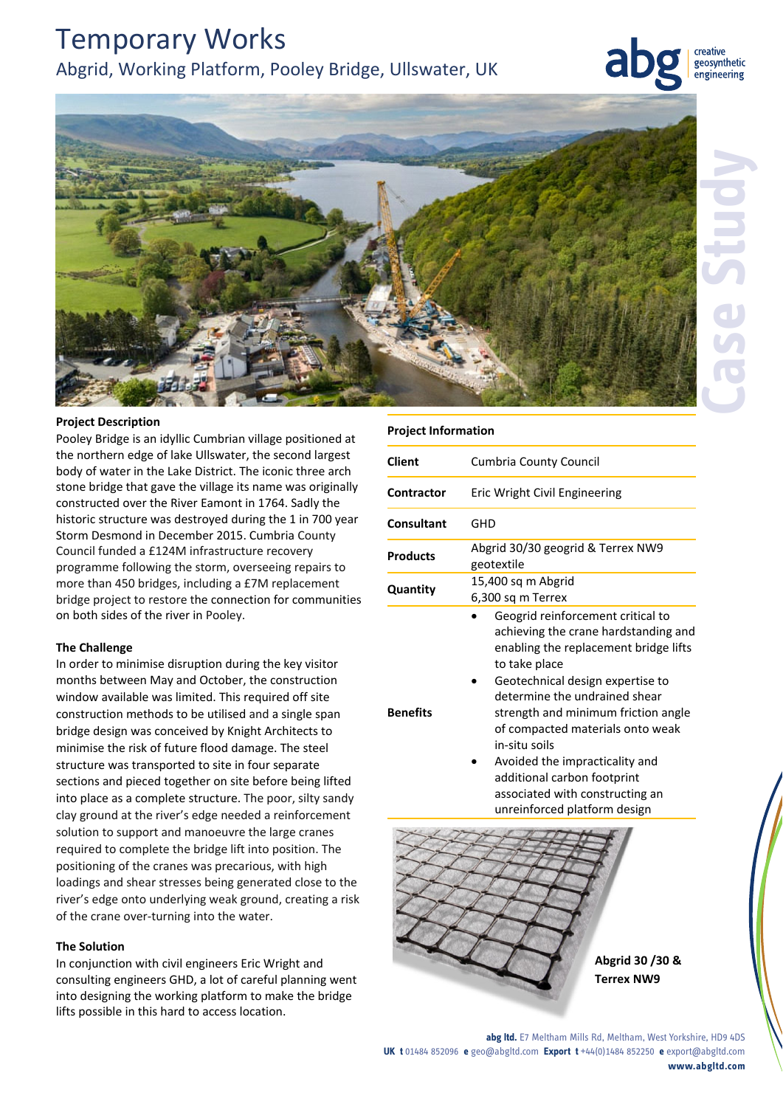# Temporary Works Abgrid, Working Platform, Pooley Bridge, Ullswater, UK



geosynthetic engineering



### **Project Description**

Pooley Bridge is an idyllic Cumbrian village positioned at the northern edge of lake Ullswater, the second largest body of water in the Lake District. The iconic three arch stone bridge that gave the village its name was originally constructed over the River Eamont in 1764. Sadly the historic structure was destroyed during the 1 in 700 year Storm Desmond in December 2015. Cumbria County Council funded a £124M infrastructure recovery programme following the storm, overseeing repairs to more than 450 bridges, including a £7M replacement bridge project to restore the connection for communities on both sides of the river in Pooley.

#### **The Challenge**

In order to minimise disruption during the key visitor months between May and October, the construction window available was limited. This required off site construction methods to be utilised and a single span bridge design was conceived by Knight Architects to minimise the risk of future flood damage. The steel structure was transported to site in four separate sections and pieced together on site before being lifted into place as a complete structure. The poor, silty sandy clay ground at the river's edge needed a reinforcement solution to support and manoeuvre the large cranes required to complete the bridge lift into position. The positioning of the cranes was precarious, with high loadings and shear stresses being generated close to the river's edge onto underlying weak ground, creating a risk of the crane over-turning into the water.

#### **The Solution**

In conjunction with civil engineers Eric Wright and consulting engineers GHD, a lot of careful planning went into designing the working platform to make the bridge lifts possible in this hard to access location.

#### **Project Information**

| Client          | Cumbria County Council                                                                                                                                                                                                                                                                                                                                                                                   |
|-----------------|----------------------------------------------------------------------------------------------------------------------------------------------------------------------------------------------------------------------------------------------------------------------------------------------------------------------------------------------------------------------------------------------------------|
| Contractor      | Eric Wright Civil Engineering                                                                                                                                                                                                                                                                                                                                                                            |
| Consultant      | GHD                                                                                                                                                                                                                                                                                                                                                                                                      |
| Products        | Abgrid 30/30 geogrid & Terrex NW9<br>geotextile                                                                                                                                                                                                                                                                                                                                                          |
| Quantity        | 15,400 sq m Abgrid<br>6,300 sq m Terrex                                                                                                                                                                                                                                                                                                                                                                  |
| <b>Benefits</b> | Geogrid reinforcement critical to<br>achieving the crane hardstanding and<br>enabling the replacement bridge lifts<br>to take place<br>Geotechnical design expertise to<br>determine the undrained shear<br>strength and minimum friction angle<br>of compacted materials onto weak<br>in-situ soils<br>Avoided the impracticality and<br>additional carbon footprint<br>associated with constructing an |



**abg ltd.** E7 Meltham Mills Rd, Meltham, West Yorkshire, HD9 4DS **UK t** 01484 852096 **e** geo@abgltd.com **Export t** +44(0)1484 852250 **e** export@abgltd.com **www.abgltd.com**